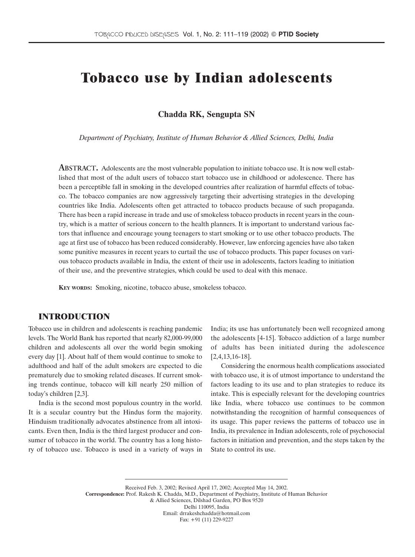# **Tobacco use by Indian adolescents**

## **Chadda RK, Sengupta SN**

*Department of Psychiatry, Institute of Human Behavior & Allied Sciences, Delhi, India*

ABSTRACT. Adolescents are the most vulnerable population to initiate tobacco use. It is now well established that most of the adult users of tobacco start tobacco use in childhood or adolescence. There has been a perceptible fall in smoking in the developed countries after realization of harmful effects of tobacco. The tobacco companies are now aggressively targeting their advertising strategies in the developing countries like India. Adolescents often get attracted to tobacco products because of such propaganda. There has been a rapid increase in trade and use of smokeless tobacco products in recent years in the country, which is a matter of serious concern to the health planners. It is important to understand various factors that influence and encourage young teenagers to start smoking or to use other tobacco products. The age at first use of tobacco has been reduced considerably. However, law enforcing agencies have also taken some punitive measures in recent years to curtail the use of tobacco products. This paper focuses on various tobacco products available in India, the extent of their use in adolescents, factors leading to initiation of their use, and the preventive strategies, which could be used to deal with this menace.

**KEY WORDS:** Smoking, nicotine, tobacco abuse, smokeless tobacco.

## **INTRODUCTION**

Tobacco use in children and adolescents is reaching pandemic levels. The World Bank has reported that nearly 82,000-99,000 children and adolescents all over the world begin smoking every day [1]. About half of them would continue to smoke to adulthood and half of the adult smokers are expected to die prematurely due to smoking related diseases. If current smoking trends continue, tobacco will kill nearly 250 million of today's children [2,3].

India is the second most populous country in the world. It is a secular country but the Hindus form the majority. Hinduism traditionally advocates abstinence from all intoxicants. Even then, India is the third largest producer and consumer of tobacco in the world. The country has a long history of tobacco use. Tobacco is used in a variety of ways in India; its use has unfortunately been well recognized among the adolescents [4-15]. Tobacco addiction of a large number of adults has been initiated during the adolescence [2,4,13,16-18].

Considering the enormous health complications associated with tobacco use, it is of utmost importance to understand the factors leading to its use and to plan strategies to reduce its intake. This is especially relevant for the developing countries like India, where tobacco use continues to be common notwithstanding the recognition of harmful consequences of its usage. This paper reviews the patterns of tobacco use in India, its prevalence in Indian adolescents, role of psychosocial factors in initiation and prevention, and the steps taken by the State to control its use.

Received Feb. 3, 2002; Revised April 17, 2002; Accepted May 14, 2002. **Correspondence:** Prof. Rakesh K. Chadda, M.D., Department of Psychiatry, Institute of Human Behavior & Allied Sciences, Dilshad Garden, PO Box 9520 Delhi 110095, India Email: drrakeshchadda@hotmail.com Fax: +91 (11) 229-9227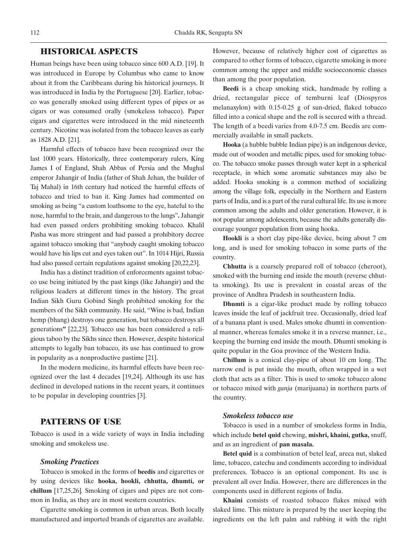# **HISTORICAL ASPECTS**

Human beings have been using tobacco since 600 A.D. [19]. It was introduced in Europe by Columbus who came to know about it from the Caribbeans during his historical journeys. It was introduced in India by the Portuguese [20]. Earlier, tobacco was generally smoked using different types of pipes or as cigars or was consumed orally (smokeless tobacco). Paper cigars and cigarettes were introduced in the mid nineteenth century. Nicotine was isolated from the tobacco leaves as early as 1828 A.D. [21].

Harmful effects of tobacco have been recognized over the last 1000 years. Historically, three contemporary rulers, King James I of England, Shah Abbas of Persia and the Mughal emperor Jahangir of India (father of Shah Jehan, the builder of Taj Mahal) in 16th century had noticed the harmful effects of tobacco and tried to ban it. King James had commented on smoking as being "a custom loathsome to the eye, hateful to the nose, harmful to the brain, and dangerous to the lungs"**.** Jahangir had even passed orders prohibiting smoking tobacco. Khalil Pasha was more stringent and had passed a prohibitory decree against tobacco smoking that "anybody caught smoking tobacco would have his lips cut and eyes taken out". In 1014 Hijri, Russia had also passed certain regulations against smoking [20,22,23].

India has a distinct tradition of enforcements against tobacco use being initiated by the past kings (like Jahangir) and the religious leaders at different times in the history. The great Indian Sikh Guru Gobind Singh prohibited smoking for the members of the Sikh community. He said, "Wine is bad, Indian hemp (bhang) destroys one generation, but tobacco destroys all generations**"** [22,23]. Tobacco use has been considered a religious taboo by the Sikhs since then. However, despite historical attempts to legally ban tobacco, its use has continued to grow in popularity as a nonproductive pastime [21].

In the modern medicine, its harmful effects have been recognized over the last 4 decades [19,24]. Although its use has declined in developed nations in the recent years, it continues to be popular in developing countries [3].

# **PATTERNS OF USE**

Tobacco is used in a wide variety of ways in India including smoking and smokeless use.

## *Smoking Practices*

Tobacco is smoked in the forms of **beedis** and cigarettes or by using devices like **hooka, hookli, chhutta, dhumti, or chillum** [17,25,26]*.* Smoking of cigars and pipes are not common in India, as they are in most western countries.

Cigarette smoking is common in urban areas. Both locally manufactured and imported brands of cigarettes are available. However, because of relatively higher cost of cigarettes as compared to other forms of tobacco, cigarette smoking is more common among the upper and middle socioeconomic classes than among the poor population.

**Beedi** is a cheap smoking stick, handmade by rolling a dried, rectangular piece of temburni leaf (Diospyros melanaxylon) with 0.15-0.25 g of sun-dried, flaked tobacco filled into a conical shape and the roll is secured with a thread. The length of a beedi varies from 4.0-7.5 cm. Beedis are commercially available in small packets.

**Hooka** (a hubble bubble Indian pipe) is an indigenous device, made out of wooden and metallic pipes, used for smoking tobacco. The tobacco smoke passes through water kept in a spherical receptacle, in which some aromatic substances may also be added. Hooka smoking is a common method of socializing among the village folk, especially in the Northern and Eastern parts of India, and is a part of the rural cultural life. Its use is more common among the adults and older generation. However, it is not popular among adolescents, because the adults generally discourage younger population from using hooka.

**Hookli** is a short clay pipe-like device, being about 7 cm long, and is used for smoking tobacco in some parts of the country.

**Chhutta** is a coarsely prepared roll of tobacco (cheroot), smoked with the burning end inside the mouth (reverse chhutta smoking). Its use is prevalent in coastal areas of the province of Andhra Pradesh in southeastern India.

**Dhumti** is a cigar-like product made by rolling tobacco leaves inside the leaf of jackfruit tree. Occasionally, dried leaf of a banana plant is used. Males smoke dhumti in conventional manner, whereas females smoke it in a reverse manner, i.e., keeping the burning end inside the mouth. Dhumti smoking is quite popular in the Goa province of the Western India.

**Chillum** is a conical clay-pipe of about 10 cm long. The narrow end is put inside the mouth, often wrapped in a wet cloth that acts as a filter. This is used to smoke tobacco alone or tobacco mixed with *ganja* (marijuana) in northern parts of the country.

### *Smokeless tobacco use*

Tobacco is used in a number of smokeless forms in India, which include **betel quid** chewing, **mishri, khaini, gutka,** snuff, and as an ingredient of **pan masala.**

**Betel quid** is a combination of betel leaf, areca nut, slaked lime, tobacco, catechu and condiments according to individual preferences. Tobacco is an optional component. Its use is prevalent all over India. However, there are differences in the components used in different regions of India.

**Khaini** consists of roasted tobacco flakes mixed with slaked lime. This mixture is prepared by the user keeping the ingredients on the left palm and rubbing it with the right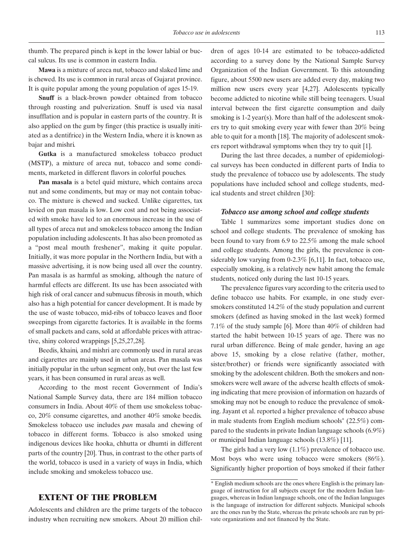thumb. The prepared pinch is kept in the lower labial or buccal sulcus. Its use is common in eastern India.

**Mawa** is a mixture of areca nut, tobacco and slaked lime and is chewed. Its use is common in rural areas of Gujarat province. It is quite popular among the young population of ages 15-19.

**Snuff** is a black-brown powder obtained from tobacco through roasting and pulverization. Snuff is used via nasal insufflation and is popular in eastern parts of the country. It is also applied on the gum by finger (this practice is usually initiated as a dentifrice) in the Western India, where it is known as bajar and mishri*.*

**Gutka** is a manufactured smokeless tobacco product (MSTP), a mixture of areca nut, tobacco and some condiments, marketed in different flavors in colorful pouches*.*

**Pan masala** is a betel quid mixture, which contains areca nut and some condiments, but may or may not contain tobacco. The mixture is chewed and sucked. Unlike cigarettes, tax levied on pan masala is low. Low cost and not being associated with smoke have led to an enormous increase in the use of all types of areca nut and smokeless tobacco among the Indian population including adolescents. It has also been promoted as a "post meal mouth freshener", making it quite popular. Initially, it was more popular in the Northern India, but with a massive advertising, it is now being used all over the country. Pan masala is as harmful as smoking, although the nature of harmful effects are different. Its use has been associated with high risk of oral cancer and submucus fibrosis in mouth, which also has a high potential for cancer development. It is made by the use of waste tobacco, mid-ribs of tobacco leaves and floor sweepings from cigarette factories. It is available in the forms of small packets and cans, sold at affordable prices with attractive, shiny colored wrappings [5,25,27,28].

Beedis, khaini*,* and mishri are commonly used in rural areas and cigarettes are mainly used in urban areas. Pan masala was initially popular in the urban segment only, but over the last few years, it has been consumed in rural areas as well.

According to the most recent Government of India's National Sample Survey data, there are 184 million tobacco consumers in India. About 40% of them use smokeless tobacco, 20% consume cigarettes, and another 40% smoke beedis*.* Smokeless tobacco use includes *pan* masala and chewing of tobacco in different forms. Tobacco is also smoked using indigenous devices like hooka, chhutta or dhumti in different parts of the country [20]. Thus, in contrast to the other parts of the world, tobacco is used in a variety of ways in India, which include smoking and smokeless tobacco use.

# **EXTENT OF THE PROBLEM**

Adolescents and children are the prime targets of the tobacco industry when recruiting new smokers. About 20 million children of ages 10-14 are estimated to be tobacco-addicted according to a survey done by the National Sample Survey Organization of the Indian Government. To this astounding figure, about 5500 new users are added every day, making two million new users every year [4,27]. Adolescents typically become addicted to nicotine while still being teenagers. Usual interval between the first cigarette consumption and daily smoking is 1-2 year(s). More than half of the adolescent smokers try to quit smoking every year with fewer than 20% being able to quit for a month [18]. The majority of adolescent smokers report withdrawal symptoms when they try to quit [1].

During the last three decades, a number of epidemiological surveys has been conducted in different parts of India to study the prevalence of tobacco use by adolescents. The study populations have included school and college students, medical students and street children [30]:

#### *Tobacco use among school and college students*

Table 1 summarizes some important studies done on school and college students. The prevalence of smoking has been found to vary from 6.9 to 22.5% among the male school and college students. Among the girls, the prevalence is considerably low varying from 0-2.3% [6,11]. In fact, tobacco use, especially smoking, is a relatively new habit among the female students, noticed only during the last 10-15 years.

The prevalence figures vary according to the criteria used to define tobacco use habits. For example, in one study eversmokers constituted 14.2% of the study population and current smokers (defined as having smoked in the last week) formed 7.1% of the study sample [6]. More than 40% of children had started the habit between 10-15 years of age. There was no rural urban difference. Being of male gender, having an age above 15, smoking by a close relative (father, mother, sister/brother) or friends were significantly associated with smoking by the adolescent children. Both the smokers and nonsmokers were well aware of the adverse health effects of smoking indicating that mere provision of information on hazards of smoking may not be enough to reduce the prevalence of smoking. Jayant et al. reported a higher prevalence of tobacco abuse in male students from English medium schools<sup>∗</sup> (22.5%) compared to the students in private Indian language schools (6.9%) or municipal Indian language schools (13.8%) [11].

The girls had a very low (1.1%) prevalence of tobacco use. Most boys who were using tobacco were smokers (86%). Significantly higher proportion of boys smoked if their father

<sup>\*</sup> English medium schools are the ones where English is the primary language of instruction for all subjects except for the modern Indian languages, whereas in Indian language schools, one of the Indian languages is the language of instruction for different subjects. Municipal schools are the ones run by the State, whereas the private schools are run by private organizations and not financed by the State.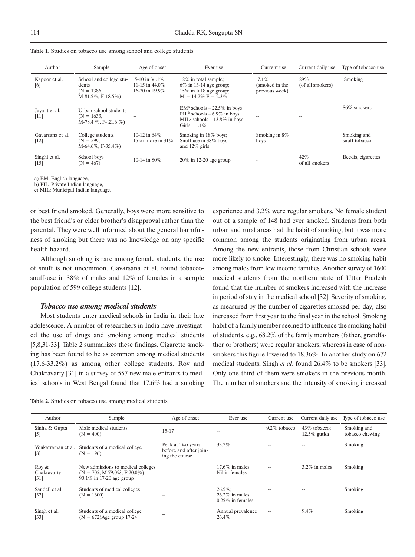| Author                     | Sample                                                                    | Age of onset                                         | Ever use                                                                                                                                   | Current use                                 | Current daily use          | Type of tobacco use          |
|----------------------------|---------------------------------------------------------------------------|------------------------------------------------------|--------------------------------------------------------------------------------------------------------------------------------------------|---------------------------------------------|----------------------------|------------------------------|
| Kapoor et al.<br>[6]       | School and college stu-<br>dents<br>$(N = 1386,$<br>$M-81.5\%, F-18.5\%)$ | 5-10 in $36.1\%$<br>11-15 in 44.0%<br>16-20 in 19.9% | $12\%$ in total sample;<br>$6\%$ in 13-14 age group;<br>$15\%$ in > 18 age group;<br>$M = 14.2\% \text{ F} = 2.3\%$                        | $7.1\%$<br>(smoked in the<br>previous week) | $29\%$<br>(of all smokers) | Smoking                      |
| Jayant et al.<br>$[11]$    | Urban school students<br>$(N = 1633)$ .<br>M-78.4 %, F- 21.6 %)           |                                                      | $EMa$ schools $-22.5\%$ in boys<br>PIL <sup>b</sup> schools – 6.9% in boys<br>MIL <sup>c</sup> schools $-13.8\%$ in boys<br>Girls $-1.1\%$ | $-$                                         | $-$                        | 86% smokers                  |
| Gavarsana et al.<br>$[12]$ | College students<br>$(N = 599,$<br>$M-64.6\%, F-35.4\%)$                  | 10-12 in $64\%$<br>15 or more in $31\%$              | Smoking in 18% boys:<br>Snuff use in 38% boys<br>and $12\%$ girls                                                                          | Smoking in 8%<br>boys                       | $-$                        | Smoking and<br>snuff tobacco |
| Singhi et al.<br>$[15]$    | School boys<br>$(N = 467)$                                                | 10-14 in $80\%$                                      | $20\%$ in 12-20 age group                                                                                                                  |                                             | 42%<br>of all smokers      | Beedis, cigarettes           |

Table 1. Studies on tobacco use among school and college students

a) EM: English language,

b) PIL: Private Indian language,

c) MIL: Municipal Indian language.

or best friend smoked. Generally, boys were more sensitive to the best friend's or elder brother's disapproval rather than the parental. They were well informed about the general harmfulness of smoking but there was no knowledge on any specific health hazard.

Although smoking is rare among female students, the use of snuff is not uncommon. Gavarsana et al. found tobaccosnuff-use in 38% of males and 12% of females in a sample population of 599 college students [12].

#### *Tobacco use among medical students*

Most students enter medical schools in India in their late adolescence. A number of researchers in India have investigated the use of drugs and smoking among medical students [5,8,31-33]. Table 2 summarizes these findings. Cigarette smoking has been found to be as common among medical students (17.6-33.2%) as among other college students. Roy and Chakravarty [31] in a survey of 557 new male entrants to medical schools in West Bengal found that 17.6% had a smoking

experience and 3.2% were regular smokers. No female student out of a sample of 148 had ever smoked. Students from both urban and rural areas had the habit of smoking, but it was more common among the students originating from urban areas. Among the new entrants, those from Christian schools were more likely to smoke. Interestingly, there was no smoking habit among males from low income families. Another survey of 1600 medical students from the northern state of Uttar Pradesh found that the number of smokers increased with the increase in period of stay in the medical school [32]. Severity of smoking, as measured by the number of cigarettes smoked per day, also increased from first year to the final year in the school. Smoking habit of a family member seemed to influence the smoking habit of students, e.g., 68.2% of the family members (father, grandfather or brothers) were regular smokers, whereas in case of nonsmokers this figure lowered to 18.36%. In another study on 672 medical students, Singh *et al*. found 26.4% to be smokers [33]. Only one third of them were smokers in the previous month. The number of smokers and the intensity of smoking increased

| Table 2. Studies on tobacco use among medical students |  |  |  |  |  |  |
|--------------------------------------------------------|--|--|--|--|--|--|
|--------------------------------------------------------|--|--|--|--|--|--|

| Author                                      | Sample                                                                                               | Age of onset                                                  | Ever use                                               | Current use     | Current daily use              | Type of tobacco use            |
|---------------------------------------------|------------------------------------------------------------------------------------------------------|---------------------------------------------------------------|--------------------------------------------------------|-----------------|--------------------------------|--------------------------------|
| Sinha & Gupta<br>$[5]$                      | Male medical students<br>$(N = 400)$                                                                 | $15 - 17$                                                     |                                                        | $9.2\%$ tobacco | 43% tobacco:<br>$12.5\%$ gutka | Smoking and<br>tobacco chewing |
| Venkatraman et al.<br>[8]                   | Students of a medical college<br>$(N = 196)$                                                         | Peak at Two years<br>before and after join-<br>ing the course | 33.2%                                                  | --              | --                             | Smoking                        |
| Roy $&$<br>Chakravarty<br>$\left[31\right]$ | New admissions to medical colleges<br>$(N = 705, M 79.0\%, F 20.0\%)$<br>$90.1\%$ in 17-20 age group | $-$                                                           | $17.6\%$ in males<br>Nil in females                    | $- -$           | $3.2\%$ in males               | Smoking                        |
| Sandell et al.<br>$[32]$                    | Students of medical colleges<br>$(N = 1600)$                                                         | $-$                                                           | $26.5\%$ ;<br>$26.2\%$ in males<br>$0.25\%$ in females | --              | $- -$                          | Smoking                        |
| Singh et al.<br>$[33]$                      | Students of a medical college<br>$(N = 672)$ Age group 17-24                                         | $-$                                                           | Annual prevalence<br>26.4%                             | $- -$           | 9.4%                           | Smoking                        |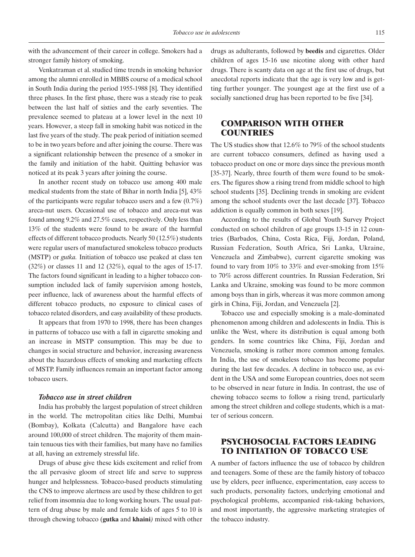with the advancement of their career in college. Smokers had a stronger family history of smoking.

Venkatraman et al. studied time trends in smoking behavior among the alumni enrolled in MBBS course of a medical school in South India during the period 1955-1988 [8]. They identified three phases. In the first phase, there was a steady rise to peak between the last half of sixties and the early seventies. The prevalence seemed to plateau at a lower level in the next 10 years. However, a steep fall in smoking habit was noticed in the last five years of the study. The peak period of initiation seemed to be in two years before and after joining the course. There was a significant relationship between the presence of a smoker in the family and initiation of the habit. Quitting behavior was noticed at its peak 3 years after joining the course.

In another recent study on tobacco use among 400 male medical students from the state of Bihar in north India [5], 43% of the participants were regular tobacco users and a few (0.7%) areca-nut users. Occasional use of tobacco and areca-nut was found among 9.2% and 27.5% cases, respectively. Only less than 13% of the students were found to be aware of the harmful effects of different tobacco products. Nearly 50 (12.5%) students were regular users of manufactured smokeless tobacco products (MSTP) or *gutka.* Initiation of tobacco use peaked at class ten (32%) or classes 11 and 12 (32%), equal to the ages of 15-17. The factors found significant in leading to a higher tobacco consumption included lack of family supervision among hostels, peer influence, lack of awareness about the harmful effects of different tobacco products, no exposure to clinical cases of tobacco related disorders, and easy availability of these products.

It appears that from 1970 to 1998, there has been changes in patterns of tobacco use with a fall in cigarette smoking and an increase in MSTP consumption. This may be due to changes in social structure and behavior, increasing awareness about the hazardous effects of smoking and marketing effects of MSTP. Family influences remain an important factor among tobacco users.

### *Tobacco use in street children*

India has probably the largest population of street children in the world. The metropolitan cities like Delhi, Mumbai (Bombay), Kolkata (Calcutta) and Bangalore have each around 100,000 of street children. The majority of them maintain tenuous ties with their families, but many have no families at all, having an extremely stressful life.

Drugs of abuse give these kids excitement and relief from the all pervasive gloom of street life and serve to suppress hunger and helplessness. Tobacco-based products stimulating the CNS to improve alertness are used by these children to get relief from insomnia due to long working hours. The usual pattern of drug abuse by male and female kids of ages 5 to 10 is through chewing tobacco (**gutka** and **khaini***)* mixed with other drugs as adulterants, followed by **beedis** and cigarettes. Older children of ages 15-16 use nicotine along with other hard drugs. There is scanty data on age at the first use of drugs, but anecdotal reports indicate that the age is very low and is getting further younger. The youngest age at the first use of a socially sanctioned drug has been reported to be five [34].

# **COMPARISON WITH OTHER COUNTRIES**

The US studies show that 12.6% to 79% of the school students are current tobacco consumers, defined as having used a tobacco product on one or more days since the previous month [35-37]. Nearly, three fourth of them were found to be smokers. The figures show a rising trend from middle school to high school students [35]. Declining trends in smoking are evident among the school students over the last decade [37]. Tobacco addiction is equally common in both sexes [19].

According to the results of Global Youth Survey Project conducted on school children of age groups 13-15 in 12 countries (Barbados, China, Costa Rica, Fiji, Jordan, Poland, Russian Federation, South Africa, Sri Lanka, Ukraine, Venezuela and Zimbabwe), current cigarette smoking was found to vary from 10% to 33% and ever-smoking from 15% to 70% across different countries. In Russian Federation, Sri Lanka and Ukraine, smoking was found to be more common among boys than in girls, whereas it was more common among girls in China, Fiji, Jordan, and Venezuela [2].

Tobacco use and especially smoking is a male-dominated phenomenon among children and adolescents in India. This is unlike the West, where its distribution is equal among both genders. In some countries like China, Fiji, Jordan and Venezuela, smoking is rather more common among females. In India, the use of smokeless tobacco has become popular during the last few decades. A decline in tobacco use, as evident in the USA and some European countries, does not seem to be observed in near future in India. In contrast, the use of chewing tobacco seems to follow a rising trend, particularly among the street children and college students, which is a matter of serious concern.

# **PSYCHOSOCIAL FACTORS LEADING TO INITIATION OF TOBACCO USE**

A number of factors influence the use of tobacco by children and teenagers. Some of these are the family history of tobacco use by elders, peer influence, experimentation, easy access to such products, personality factors, underlying emotional and psychological problems, accompanied risk-taking behaviors, and most importantly, the aggressive marketing strategies of the tobacco industry.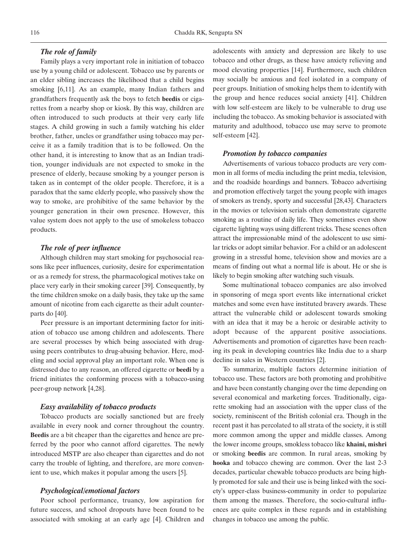## *The role of family*

Family plays a very important role in initiation of tobacco use by a young child or adolescent. Tobacco use by parents or an elder sibling increases the likelihood that a child begins smoking [6,11]. As an example, many Indian fathers and grandfathers frequently ask the boys to fetch **beedis** or cigarettes from a nearby shop or kiosk. By this way, children are often introduced to such products at their very early life stages. A child growing in such a family watching his elder brother, father, uncles or grandfather using tobacco may perceive it as a family tradition that is to be followed. On the other hand, it is interesting to know that as an Indian tradition, younger individuals are not expected to smoke in the presence of elderly, because smoking by a younger person is taken as in contempt of the older people. Therefore, it is a paradox that the same elderly people, who passively show the way to smoke, are prohibitive of the same behavior by the younger generation in their own presence. However, this value system does not apply to the use of smokeless tobacco products.

#### *The role of peer influence*

Although children may start smoking for psychosocial reasons like peer influences, curiosity, desire for experimentation or as a remedy for stress, the pharmacological motives take on place very early in their smoking career [39]. Consequently, by the time children smoke on a daily basis, they take up the same amount of nicotine from each cigarette as their adult counterparts do [40].

Peer pressure is an important determining factor for initiation of tobacco use among children and adolescents. There are several processes by which being associated with drugusing peers contributes to drug-abusing behavior. Here, modeling and social approval play an important role. When one is distressed due to any reason, an offered cigarette or **beedi** by a friend initiates the conforming process with a tobacco-using peer-group network [4,28].

#### *Easy availability of tobacco products*

Tobacco products are socially sanctioned but are freely available in every nook and corner throughout the country. **Beedis** are a bit cheaper than the cigarettes and hence are preferred by the poor who cannot afford cigarettes. The newly introduced MSTP are also cheaper than cigarettes and do not carry the trouble of lighting, and therefore, are more convenient to use, which makes it popular among the users [5].

## *Psychological/emotional factors*

Poor school performance, truancy, low aspiration for future success, and school dropouts have been found to be associated with smoking at an early age [4]. Children and

adolescents with anxiety and depression are likely to use tobacco and other drugs, as these have anxiety relieving and mood elevating properties [14]. Furthermore, such children may socially be anxious and feel isolated in a company of peer groups. Initiation of smoking helps them to identify with the group and hence reduces social anxiety [41]. Children with low self-esteem are likely to be vulnerable to drug use including the tobacco. As smoking behavior is associated with maturity and adulthood, tobacco use may serve to promote self-esteem [42].

#### *Promotion by tobacco companies*

Advertisements of various tobacco products are very common in all forms of media including the print media, television, and the roadside hoardings and banners. Tobacco advertising and promotion effectively target the young people with images of smokers as trendy, sporty and successful [28,43]. Characters in the movies or television serials often demonstrate cigarette smoking as a routine of daily life. They sometimes even show cigarette lighting ways using different tricks. These scenes often attract the impressionable mind of the adolescent to use similar tricks or adopt similar behavior. For a child or an adolescent growing in a stressful home, television show and movies are a means of finding out what a normal life is about. He or she is likely to begin smoking after watching such visuals.

Some multinational tobacco companies are also involved in sponsoring of mega sport events like international cricket matches and some even have instituted bravery awards. These attract the vulnerable child or adolescent towards smoking with an idea that it may be a heroic or desirable activity to adopt because of the apparent positive associations. Advertisements and promotion of cigarettes have been reaching its peak in developing countries like India due to a sharp decline in sales in Western countries [2].

To summarize, multiple factors determine initiation of tobacco use. These factors are both promoting and prohibitive and have been constantly changing over the time depending on several economical and marketing forces. Traditionally, cigarette smoking had an association with the upper class of the society, reminiscent of the British colonial era. Though in the recent past it has percolated to all strata of the society, it is still more common among the upper and middle classes. Among the lower income groups, smokless tobacco like **khaini, mishri** or smoking **beedis** are common. In rural areas, smoking by **hooka** and tobacco chewing are common. Over the last 2-3 decades, particular chewable tobacco products are being highly promoted for sale and their use is being linked with the society's upper-class business-community in order to popularize them among the masses. Therefore, the socio-cultural influences are quite complex in these regards and in establishing changes in tobacco use among the public.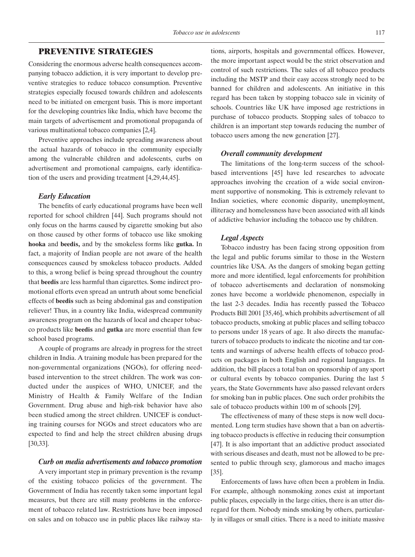# **PREVENTIVE STRATEGIES**

Considering the enormous adverse health consequences accompanying tobacco addiction, it is very important to develop preventive strategies to reduce tobacco consumption. Preventive strategies especially focused towards children and adolescents need to be initiated on emergent basis. This is more important for the developing countries like India, which have become the main targets of advertisement and promotional propaganda of various multinational tobacco companies [2,4].

Preventive approaches include spreading awareness about the actual hazards of tobacco in the community especially among the vulnerable children and adolescents, curbs on advertisement and promotional campaigns, early identification of the users and providing treatment [4,29,44,45].

#### *Early Education*

The benefits of early educational programs have been well reported for school children [44]. Such programs should not only focus on the harms caused by cigarette smoking but also on those caused by other forms of tobacco use like smoking **hooka** and **beedis,** and by the smokeless forms like **gutka.** In fact, a majority of Indian people are not aware of the health consequences caused by smokeless tobacco products. Added to this, a wrong belief is being spread throughout the country that **beedis** are less harmful than cigarettes. Some indirect promotional efforts even spread an untruth about some beneficial effects of **beedis** such as being abdominal gas and constipation reliever! Thus, in a country like India, widespread community awareness program on the hazards of local and cheaper tobacco products like **beedis** and **gutka** are more essential than few school based programs.

A couple of programs are already in progress for the street children in India. A training module has been prepared for the non-governmental organizations (NGOs), for offering needbased intervention to the street children. The work was conducted under the auspices of WHO, UNICEF, and the Ministry of Health & Family Welfare of the Indian Government. Drug abuse and high-risk behavior have also been studied among the street children. UNICEF is conducting training courses for NGOs and street educators who are expected to find and help the street children abusing drugs [30,33].

#### *Curb on media advertisements and tobacco promotion*

A very important step in primary prevention is the revamp of the existing tobacco policies of the government. The Government of India has recently taken some important legal measures, but there are still many problems in the enforcement of tobacco related law. Restrictions have been imposed on sales and on tobacco use in public places like railway stations, airports, hospitals and governmental offices. However, the more important aspect would be the strict observation and control of such restrictions. The sales of all tobacco products including the MSTP and their easy access strongly need to be banned for children and adolescents. An initiative in this regard has been taken by stopping tobacco sale in vicinity of schools. Countries like UK have imposed age restrictions in purchase of tobacco products. Stopping sales of tobacco to children is an important step towards reducing the number of tobacco users among the new generation [27].

#### *Overall community development*

The limitations of the long-term success of the schoolbased interventions [45] have led researches to advocate approaches involving the creation of a wide social environment supportive of nonsmoking. This is extremely relevant to Indian societies, where economic disparity, unemployment, illiteracy and homelessness have been associated with all kinds of addictive behavior including the tobacco use by children.

## *Legal Aspects*

Tobacco industry has been facing strong opposition from the legal and public forums similar to those in the Western countries like USA. As the dangers of smoking began getting more and more identified, legal enforcements for prohibition of tobacco advertisements and declaration of nonsmoking zones have become a worldwide phenomenon, especially in the last 2-3 decades. India has recently passed the Tobacco Products Bill 2001 [35,46], which prohibits advertisement of all tobacco products, smoking at public places and selling tobacco to persons under 18 years of age. It also directs the manufacturers of tobacco products to indicate the nicotine and tar contents and warnings of adverse health effects of tobacco products on packages in both English and regional languages. In addition, the bill places a total ban on sponsorship of any sport or cultural events by tobacco companies. During the last 5 years, the State Governments have also passed relevant orders for smoking ban in public places. One such order prohibits the sale of tobacco products within 100 m of schools [29].

The effectiveness of many of these steps is now well documented. Long term studies have shown that a ban on advertising tobacco products is effective in reducing their consumption [47]. It is also important that an addictive product associated with serious diseases and death, must not be allowed to be presented to public through sexy, glamorous and macho images [35].

Enforcements of laws have often been a problem in India. For example, although nonsmoking zones exist at important public places, especially in the large cities, there is an utter disregard for them. Nobody minds smoking by others, particularly in villages or small cities. There is a need to initiate massive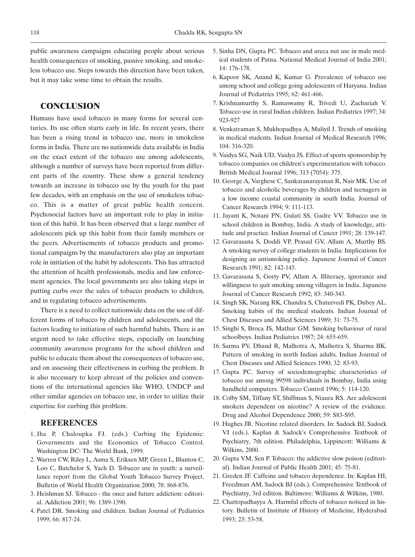public awareness campaigns educating people about serious health consequences of smoking, passive smoking, and smokeless tobacco use. Steps towards this direction have been taken, but it may take some time to obtain the results.

## **CONCLUSION**

Humans have used tobacco in many forms for several centuries. Its use often starts early in life. In recent years, there has been a rising trend in tobacco use, more in smokeless forms in India. There are no nationwide data available in India on the exact extent of the tobacco use among adolescents, although a number of surveys have been reported from different parts of the country. These show a general tendency towards an increase in tobacco use by the youth for the past few decades, with an emphasis on the use of smokeless tobacco. This is a matter of great public health concern. Psychosocial factors have an important role to play in initiation of this habit. It has been observed that a large number of adolescents pick up this habit from their family members or the peers. Advertisements of tobacco products and promotional campaigns by the manufacturers also play an important role in initiation of the habit by adolescents. This has attracted the attention of health professionals, media and law enforcement agencies. The local governments are also taking steps in putting curbs over the sales of tobacco products to children, and in regulating tobacco advertisements.

There is a need to collect nationwide data on the use of different forms of tobacco by children and adolescents, and the factors leading to initiation of such harmful habits. There is an urgent need to take effective steps, especially on launching community awareness programs for the school children and public to educate them about the consequences of tobacco use, and on assessing their effectiveness in curbing the problem. It is also necessary to keep abreast of the policies and conventions of the international agencies like WHO, UNDCP and other similar agencies on tobacco use, in order to utilize their expertise for curbing this problem.

## **REFERENCES**

- 1. Jha P, Chaloupka FJ. (eds.) Curbing the Epidemic: Governments and the Economics of Tobacco Control. Washington DC: The World Bank, 1999.
- 2. Warren CW, Riley L, Asma S, Eriksen MP, Green L, Blanton C, Loo C, Batchelor S, Yach D. Tobacco use in youth: a surveillance report from the Global Youth Tobacco Survey Project. Bulletin of World Health Organization 2000; 78: 868-876.
- 3. Heishman SJ. Tobacco the once and future addiction: editorial. Addiction 2001; 96: 1389-1390.
- 4. Patel DR. Smoking and children. Indian Journal of Pediatrics 1999; 66: 817-24.
- 5. Sinha DN, Gupta PC. Tobacco and areca nut use in male medical students of Patna. National Medical Journal of India 2001; 14: 176-178.
- 6. Kapoor SK, Anand K, Kumar G. Prevalence of tobacco use among school and college going adolescents of Haryana. Indian Journal of Pediatrics 1995; 62: 461-466.
- 7. Krishnamurthy S, Ramaswamy R, Trivedi U, Zachariah V. Tobacco use in rural Indian children. Indian Pediatrics 1997; 34: 923-927
- 8. Venkatraman S, Mukhopadhya A, Muliyil J. Trends of smoking in medical students. Indian Journal of Medical Research 1996; 104: 316-320.
- 9. Vaidya SG, Naik UD, Vaidya JS. Effect of sports sponsorship by tobacco companies on children's experimentation with tobacco. British Medical Journal 1996; 313 (7054): 375.
- 10. George A, Varghese C, Sankaranarayanan R, Nair MK. Use of tobacco and alcoholic beverages by children and teenagers in a low income coastal community in south India. Journal of Cancer Research 1994; 9: 111-113.
- 11. Jayant K, Notani PN, Gulati SS, Gadre VV. Tobacco use in school children in Bombay, India. A study of knowledge, attitude and practice. Indian Journal of Cancer 1991; 28: 139-147.
- 12. Gavarasana S, Doddi VP, Prasad GV, Allam A, Murthy BS. A smoking survey of college students in India: Implications for designing an antismoking policy. Japanese Journal of Cancer Research 1991; 82: 142-145.
- 13. Gavarasana S, Gorty PV, Allam A. Illiteracy, ignorance and willingness to quit smoking among villagers in India. Japanese Journal of Cancer Research 1992; 83: 340-343.
- 14. Singh SK, Narang RK, Chandra S, Chaturvedi PK, Dubey AL. Smoking habits of the medical students. Indian Journal of Chest Diseases and Allied Sciences 1989; 31: 73-75.
- 15. Singhi S, Broca JS, Mathur GM. Smoking behaviour of rural schoolboys. Indian Pediatrics 1987; 24: 655-659.
- 16. Sarma PV, Dhand R, Malhotra A, Malhotra S, Sharma BK. Pattern of smoking in north Indian adults. Indian Journal of Chest Diseases and Allied Sciences 1990; 32: 83-93.
- 17. Gupta PC. Survey of sociodemographic characteristics of tobacco use among 99598 individuals in Bombay, India using handheld computers. Tobacco Control 1996; 5: 114-120.
- 18. Colby SM, Tiffany ST, Shiffman S, Niaura RS. Are adolescent smokers dependent on nicotine? A review of the evidence. Drug and Alcohol Dependence 2000; 59: S83-S95.
- 19. Hughes JR. Nicotine related disorders. In: Sadock BJ, Sadock VI (eds.). Kaplan & Sadock's Comprehensive Textbook of Psychiatry, 7th edition. Philadelphia, Lippincott: Williams & Wilkins, 2000.
- 20. Gupta VM, Sen P. Tobacco: the addictive slow poison (editorial). Indian Journal of Public Health 2001; 45: 75-81.
- 21. Greden JF. Caffeine and tobacco dependence. In: Kaplan HI, Freedman AM, Sadock BJ (eds.). Comprehensive Textbook of Psychiatry, 3rd edition. Baltimore: Williams & Wilkins, 1980.
- 22. Chattopadhayya A. Harmful effects of tobacco noticed in history. Bulletin of Institute of History of Medicine, Hyderabad 1993; 23: 53-58.